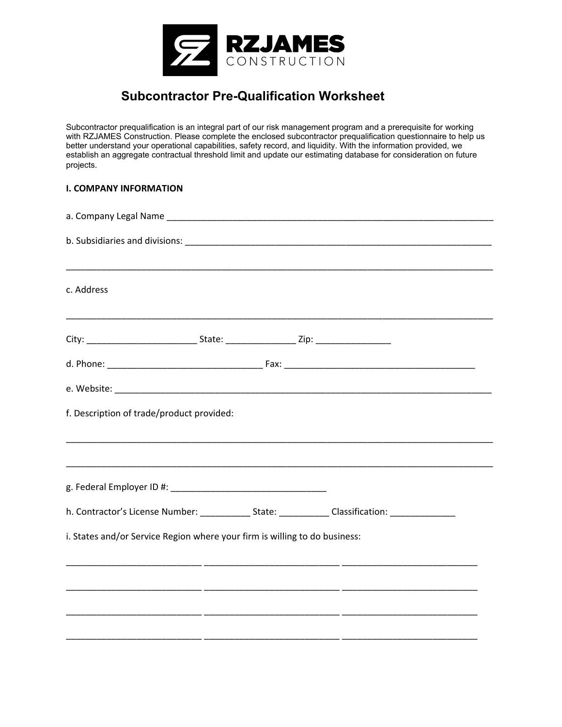

## **Subcontractor Pre-Qualification Worksheet**

Subcontractor prequalification is an integral part of our risk management program and a prerequisite for working with RZJAMES Construction. Please complete the enclosed subcontractor prequalification questionnaire to help us better understand your operational capabilities, safety record, and liquidity. With the information provided, we establish an aggregate contractual threshold limit and update our estimating database for consideration on future projects.

## **I. COMPANY INFORMATION**

| c. Address                                                                                          |  |  |  |
|-----------------------------------------------------------------------------------------------------|--|--|--|
| <u> 1989 - Johann Stoff, amerikansk politiker (d. 1989)</u>                                         |  |  |  |
|                                                                                                     |  |  |  |
|                                                                                                     |  |  |  |
| f. Description of trade/product provided:                                                           |  |  |  |
|                                                                                                     |  |  |  |
|                                                                                                     |  |  |  |
| h. Contractor's License Number: ______________State: _____________Classification: _________________ |  |  |  |
| i. States and/or Service Region where your firm is willing to do business:                          |  |  |  |
|                                                                                                     |  |  |  |
|                                                                                                     |  |  |  |
|                                                                                                     |  |  |  |
|                                                                                                     |  |  |  |
|                                                                                                     |  |  |  |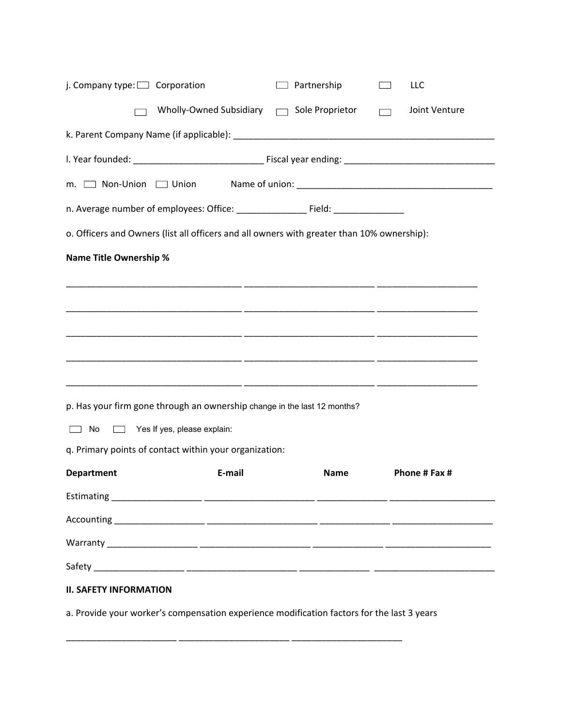| j. Company type: $\Box$ Corporation                                                                                                                                                                                                         |                                                                                            | $\Box$ Partnership | LLC           |
|---------------------------------------------------------------------------------------------------------------------------------------------------------------------------------------------------------------------------------------------|--------------------------------------------------------------------------------------------|--------------------|---------------|
|                                                                                                                                                                                                                                             | Wholly-Owned Subsidiary  Sole Proprietor                                                   |                    | Joint Venture |
|                                                                                                                                                                                                                                             |                                                                                            |                    |               |
|                                                                                                                                                                                                                                             |                                                                                            |                    |               |
|                                                                                                                                                                                                                                             |                                                                                            |                    |               |
|                                                                                                                                                                                                                                             |                                                                                            |                    |               |
|                                                                                                                                                                                                                                             | o. Officers and Owners (list all officers and all owners with greater than 10% ownership): |                    |               |
| <b>Name Title Ownership %</b>                                                                                                                                                                                                               |                                                                                            |                    |               |
|                                                                                                                                                                                                                                             |                                                                                            |                    |               |
|                                                                                                                                                                                                                                             |                                                                                            |                    |               |
|                                                                                                                                                                                                                                             |                                                                                            |                    |               |
|                                                                                                                                                                                                                                             |                                                                                            |                    |               |
|                                                                                                                                                                                                                                             |                                                                                            |                    |               |
|                                                                                                                                                                                                                                             | p. Has your firm gone through an ownership change in the last 12 months?                   |                    |               |
| No.<br><b>The Contract of the Contract of the Contract of the Contract of the Contract of the Contract of the Contract of the Contract of the Contract of the Contract of the Contract of the Contract of the Contract of the Contract </b> | Yes If yes, please explain:                                                                |                    |               |
|                                                                                                                                                                                                                                             | q. Primary points of contact within your organization:                                     |                    |               |
| <b>Department</b>                                                                                                                                                                                                                           | E-mail                                                                                     | <b>Name</b>        | Phone # Fax # |
|                                                                                                                                                                                                                                             |                                                                                            |                    |               |
|                                                                                                                                                                                                                                             |                                                                                            |                    |               |
|                                                                                                                                                                                                                                             |                                                                                            |                    |               |
|                                                                                                                                                                                                                                             |                                                                                            |                    |               |
| <b>II. SAFETY INFORMATION</b>                                                                                                                                                                                                               |                                                                                            |                    |               |
|                                                                                                                                                                                                                                             | a. Provide your worker's compensation experience modification factors for the last 3 years |                    |               |

\_\_\_\_\_\_\_\_\_\_\_\_\_\_\_\_\_\_\_\_\_\_ \_\_\_\_\_\_\_\_\_\_\_\_\_\_\_\_\_\_\_\_\_\_ \_\_\_\_\_\_\_\_\_\_\_\_\_\_\_\_\_\_\_\_\_\_